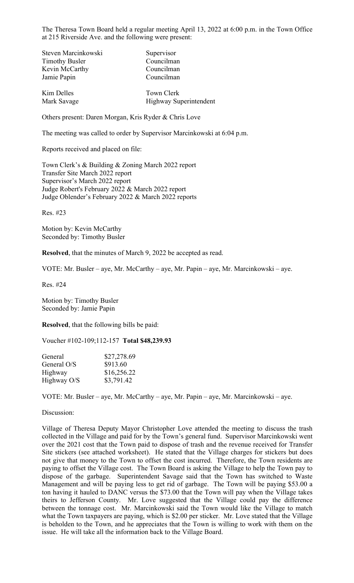The Theresa Town Board held a regular meeting April 13, 2022 at 6:00 p.m. in the Town Office at 215 Riverside Ave. and the following were present:

| Steven Marcinkowski   | Supervisor             |
|-----------------------|------------------------|
| <b>Timothy Busler</b> | Councilman             |
| Kevin McCarthy        | Councilman             |
| Jamie Papin           | Councilman             |
| Kim Delles            | <b>Town Clerk</b>      |
| Mark Savage           | Highway Superintendent |

Others present: Daren Morgan, Kris Ryder & Chris Love

The meeting was called to order by Supervisor Marcinkowski at 6:04 p.m.

Reports received and placed on file:

Town Clerk's & Building & Zoning March 2022 report Transfer Site March 2022 report Supervisor's March 2022 report Judge Robert's February 2022 & March 2022 report Judge Oblender's February 2022 & March 2022 reports

Res. #23

Motion by: Kevin McCarthy Seconded by: Timothy Busler

**Resolved**, that the minutes of March 9, 2022 be accepted as read.

VOTE: Mr. Busler – aye, Mr. McCarthy – aye, Mr. Papin – aye, Mr. Marcinkowski – aye.

Res. #24

Motion by: Timothy Busler Seconded by: Jamie Papin

**Resolved**, that the following bills be paid:

Voucher #102-109;112-157 **Total \$48,239.93**

| \$27,278.69 |
|-------------|
| \$913.60    |
| \$16,256.22 |
| \$3,791.42  |
|             |

VOTE: Mr. Busler – aye, Mr. McCarthy – aye, Mr. Papin – aye, Mr. Marcinkowski – aye.

Discussion:

Village of Theresa Deputy Mayor Christopher Love attended the meeting to discuss the trash collected in the Village and paid for by the Town's general fund. Supervisor Marcinkowski went over the 2021 cost that the Town paid to dispose of trash and the revenue received for Transfer Site stickers (see attached worksheet). He stated that the Village charges for stickers but does not give that money to the Town to offset the cost incurred. Therefore, the Town residents are paying to offset the Village cost. The Town Board is asking the Village to help the Town pay to dispose of the garbage. Superintendent Savage said that the Town has switched to Waste Management and will be paying less to get rid of garbage. The Town will be paying \$53.00 a ton having it hauled to DANC versus the \$73.00 that the Town will pay when the Village takes theirs to Jefferson County. Mr. Love suggested that the Village could pay the difference between the tonnage cost. Mr. Marcinkowski said the Town would like the Village to match what the Town taxpayers are paying, which is \$2.00 per sticker. Mr. Love stated that the Village is beholden to the Town, and he appreciates that the Town is willing to work with them on the issue. He will take all the information back to the Village Board.